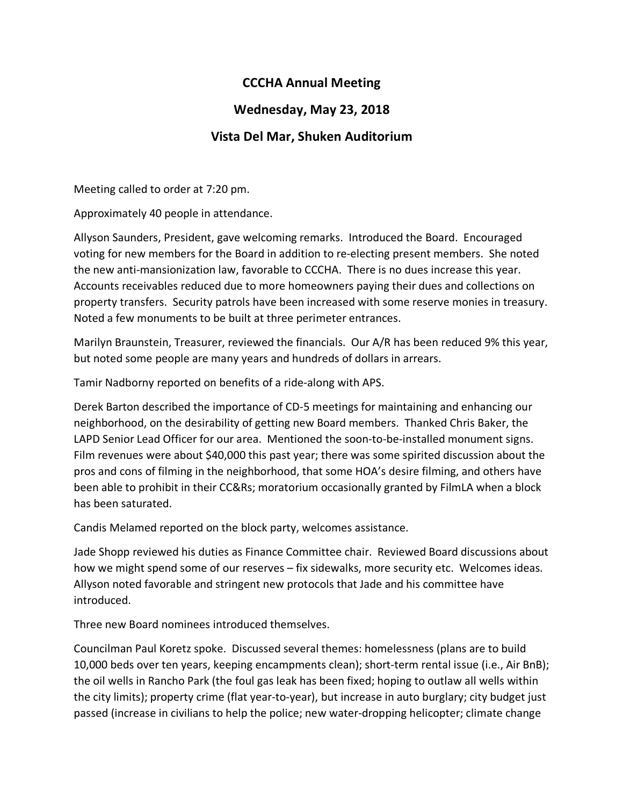## **CCCHA Annual Meeting**

## **Wednesday, May 23, 2018**

## **Vista Del Mar, Shuken Auditorium**

Meeting called to order at 7:20 pm.

Approximately 40 people in attendance.

Allyson Saunders, President, gave welcoming remarks. Introduced the Board. Encouraged voting for new members for the Board in addition to re-electing present members. She noted the new anti-mansionization law, favorable to CCCHA. There is no dues increase this year. Accounts receivables reduced due to more homeowners paying their dues and collections on property transfers. Security patrols have been increased with some reserve monies in treasury. Noted a few monuments to be built at three perimeter entrances.

Marilyn Braunstein, Treasurer, reviewed the financials. Our A/R has been reduced 9% this year, but noted some people are many years and hundreds of dollars in arrears.

Tamir Nadborny reported on benefits of a ride-along with APS.

Derek Barton described the importance of CD-5 meetings for maintaining and enhancing our neighborhood, on the desirability of getting new Board members. Thanked Chris Baker, the LAPD Senior Lead Officer for our area. Mentioned the soon-to-be-installed monument signs. Film revenues were about \$40,000 this past year; there was some spirited discussion about the pros and cons of filming in the neighborhood, that some HOA's desire filming, and others have been able to prohibit in their CC&Rs; moratorium occasionally granted by FilmLA when a block has been saturated.

Candis Melamed reported on the block party, welcomes assistance.

Jade Shopp reviewed his duties as Finance Committee chair. Reviewed Board discussions about how we might spend some of our reserves – fix sidewalks, more security etc. Welcomes ideas. Allyson noted favorable and stringent new protocols that Jade and his committee have introduced.

Three new Board nominees introduced themselves.

Councilman Paul Koretz spoke. Discussed several themes: homelessness (plans are to build 10,000 beds over ten years, keeping encampments clean); short-term rental issue (i.e., Air BnB); the oil wells in Rancho Park (the foul gas leak has been fixed; hoping to outlaw all wells within the city limits); property crime (flat year-to-year), but increase in auto burglary; city budget just passed (increase in civilians to help the police; new water-dropping helicopter; climate change